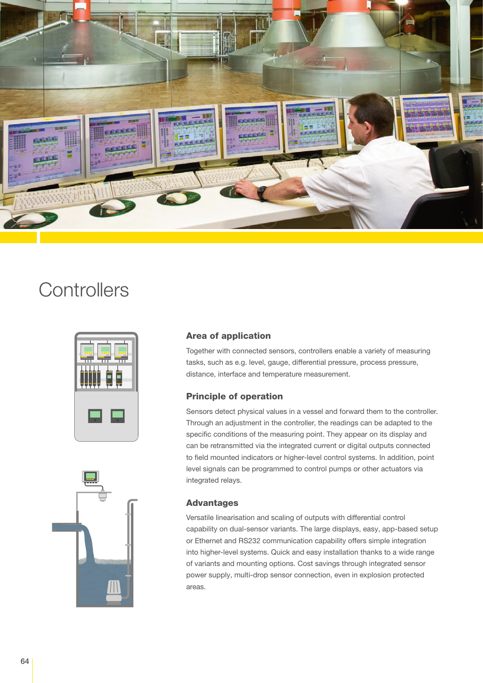

### **Controllers**



### Area of application

Together with connected sensors, controllers enable a variety of measuring tasks, such as e.g. level, gauge, differential pressure, process pressure, distance, interface and temperature measurement.

#### Principle of operation

Sensors detect physical values in a vessel and forward them to the controller. Through an adjustment in the controller, the readings can be adapted to the specific conditions of the measuring point. They appear on its display and can be retransmitted via the integrated current or digital outputs connected to field mounted indicators or higher-level control systems. In addition, point level signals can be programmed to control pumps or other actuators via integrated relays.

#### Advantages

Versatile linearisation and scaling of outputs with differential control capability on dual-sensor variants. The large displays, easy, app-based setup or Ethernet and RS232 communication capability offers simple integration into higher-level systems. Quick and easy installation thanks to a wide range of variants and mounting options. Cost savings through integrated sensor power supply, multi-drop sensor connection, even in explosion protected areas.

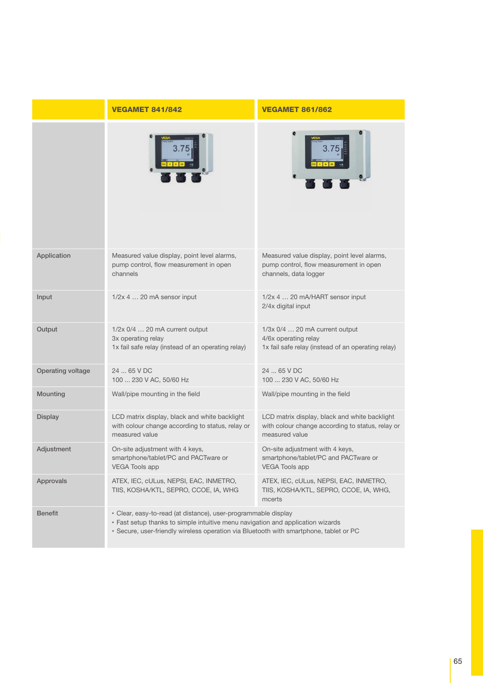|                   | <b>VEGAMET 841/842</b>                                                                                                                                                                                                                      | <b>VEGAMET 861/862</b>                                                                                              |
|-------------------|---------------------------------------------------------------------------------------------------------------------------------------------------------------------------------------------------------------------------------------------|---------------------------------------------------------------------------------------------------------------------|
|                   |                                                                                                                                                                                                                                             |                                                                                                                     |
| Application       | Measured value display, point level alarms,<br>pump control, flow measurement in open<br>channels                                                                                                                                           | Measured value display, point level alarms,<br>pump control, flow measurement in open<br>channels, data logger      |
| Input             | 1/2x 4  20 mA sensor input                                                                                                                                                                                                                  | 1/2x 4  20 mA/HART sensor input<br>2/4x digital input                                                               |
| Output            | 1/2x 0/4  20 mA current output<br>3x operating relay<br>1x fail safe relay (instead of an operating relay)                                                                                                                                  | 1/3x 0/4  20 mA current output<br>4/6x operating relay<br>1x fail safe relay (instead of an operating relay)        |
| Operating voltage | 24  65 V DC<br>100  230 V AC, 50/60 Hz                                                                                                                                                                                                      | 24  65 V DC<br>100  230 V AC, 50/60 Hz                                                                              |
| Mounting          | Wall/pipe mounting in the field                                                                                                                                                                                                             | Wall/pipe mounting in the field                                                                                     |
| <b>Display</b>    | LCD matrix display, black and white backlight<br>with colour change according to status, relay or<br>measured value                                                                                                                         | LCD matrix display, black and white backlight<br>with colour change according to status, relay or<br>measured value |
| Adjustment        | On-site adjustment with 4 keys,<br>smartphone/tablet/PC and PACTware or<br><b>VEGA Tools app</b>                                                                                                                                            | On-site adjustment with 4 keys,<br>smartphone/tablet/PC and PACTware or<br><b>VEGA Tools app</b>                    |
| Approvals         | ATEX, IEC, cULus, NEPSI, EAC, INMETRO,<br>TIIS, KOSHA/KTL, SEPRO, CCOE, IA, WHG                                                                                                                                                             | ATEX, IEC, cULus, NEPSI, EAC, INMETRO,<br>TIIS, KOSHA/KTL, SEPRO, CCOE, IA, WHG,<br>mcerts                          |
| <b>Benefit</b>    | · Clear, easy-to-read (at distance), user-programmable display<br>• Fast setup thanks to simple intuitive menu navigation and application wizards<br>· Secure, user-friendly wireless operation via Bluetooth with smartphone, tablet or PC |                                                                                                                     |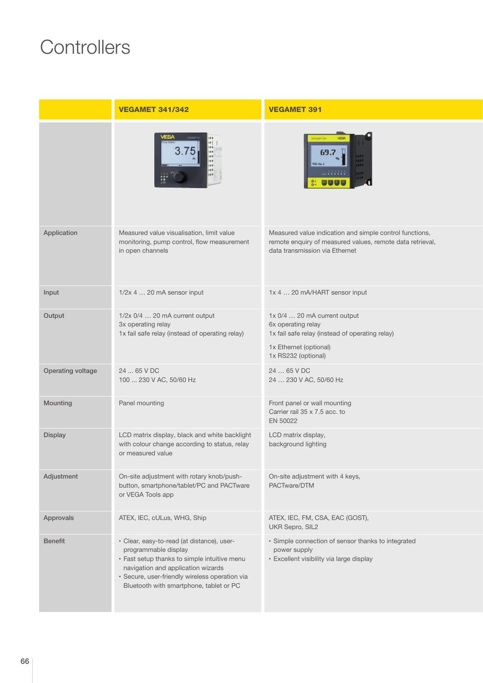# **Controllers**

|                   | <b>VEGAMET 341/342</b>                                                                                                                                                                                                                                | <b>VEGAMET 391</b>                                                                                                                                     |
|-------------------|-------------------------------------------------------------------------------------------------------------------------------------------------------------------------------------------------------------------------------------------------------|--------------------------------------------------------------------------------------------------------------------------------------------------------|
|                   |                                                                                                                                                                                                                                                       |                                                                                                                                                        |
| Application       | Measured value visualisation, limit value<br>monitoring, pump control, flow measurement<br>in open channels                                                                                                                                           | Measured value indication and simple control functions,<br>remote enquiry of measured values, remote data retrieval,<br>data transmission via Ethernet |
| Input             | $1/2x$ 4  20 mA sensor input                                                                                                                                                                                                                          | 1x 4  20 mA/HART sensor input                                                                                                                          |
| Output            | $1/2x$ 0/4  20 mA current output<br>3x operating relay<br>1x fail safe relay (instead of operating relay)                                                                                                                                             | 1x 0/4  20 mA current output<br>6x operating relay<br>1x fail safe relay (instead of operating relay)<br>1x Ethernet (optional)<br>1x RS232 (optional) |
| Operating voltage | 24  65 V DC<br>100  230 V AC, 50/60 Hz                                                                                                                                                                                                                | 24  65 V DC<br>24  230 V AC, 50/60 Hz                                                                                                                  |
| Mounting          | Panel mounting                                                                                                                                                                                                                                        | Front panel or wall mounting<br>Carrier rail 35 x 7.5 acc. to<br>EN 50022                                                                              |
| <b>Display</b>    | LCD matrix display, black and white backlight<br>with colour change according to status, relay<br>or measured value                                                                                                                                   | LCD matrix display,<br>background lighting                                                                                                             |
| Adjustment        | On-site adjustment with rotary knob/push-<br>button, smartphone/tablet/PC and PACTware<br>or VEGA Tools app                                                                                                                                           | On-site adjustment with 4 keys,<br>PACTware/DTM                                                                                                        |
| Approvals         | ATEX, IEC, cULus, WHG, Ship                                                                                                                                                                                                                           | ATEX, IEC, FM, CSA, EAC (GOST),<br>UKR Sepro, SIL2                                                                                                     |
| <b>Benefit</b>    | · Clear, easy-to-read (at distance), user-<br>programmable display<br>· Fast setup thanks to simple intuitive menu<br>navigation and application wizards<br>· Secure, user-friendly wireless operation via<br>Bluetooth with smartphone, tablet or PC | · Simple connection of sensor thanks to integrated<br>power supply<br>· Excellent visibility via large display                                         |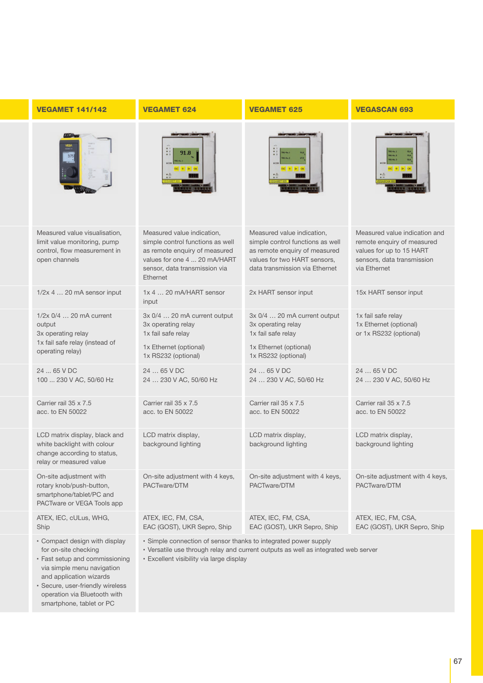| <b>VEGAMET 141/142</b>                                                                                                 | <b>VEGAMET 624</b>                                                                                                                                                                                | <b>VEGAMET 625</b>                                                                                                                                                | <b>VEGASCAN 693</b>                                                                                                                   |
|------------------------------------------------------------------------------------------------------------------------|---------------------------------------------------------------------------------------------------------------------------------------------------------------------------------------------------|-------------------------------------------------------------------------------------------------------------------------------------------------------------------|---------------------------------------------------------------------------------------------------------------------------------------|
|                                                                                                                        |                                                                                                                                                                                                   |                                                                                                                                                                   |                                                                                                                                       |
| Measured value visualisation,<br>limit value monitoring, pump<br>control, flow measurement in<br>open channels         | Measured value indication,<br>simple control functions as well<br>as remote enquiry of measured<br>values for one 4  20 mA/HART<br>sensor, data transmission via<br><b>Fthernet</b>               | Measured value indication,<br>simple control functions as well<br>as remote enquiry of measured<br>values for two HART sensors,<br>data transmission via Ethernet | Measured value indication and<br>remote enquiry of measured<br>values for up to 15 HART<br>sensors, data transmission<br>via Ethernet |
| 1/2x 4  20 mA sensor input                                                                                             | 1x 4  20 mA/HART sensor<br>input                                                                                                                                                                  | 2x HART sensor input                                                                                                                                              | 15x HART sensor input                                                                                                                 |
| $1/2x$ $0/4$ 20 mA current<br>output<br>3x operating relay<br>1x fail safe relay (instead of<br>operating relay)       | 3x 0/4  20 mA current output<br>3x operating relay<br>1x fail safe relay<br>1x Ethernet (optional)<br>1x RS232 (optional)                                                                         | 3x 0/4  20 mA current output<br>3x operating relay<br>1x fail safe relay<br>1x Ethernet (optional)<br>1x RS232 (optional)                                         | 1x fail safe relay<br>1x Ethernet (optional)<br>or 1x RS232 (optional)                                                                |
| 24  65 V DC<br>100  230 V AC, 50/60 Hz                                                                                 | 24  65 V DC<br>24  230 V AC, 50/60 Hz                                                                                                                                                             | 24  65 V DC<br>24  230 V AC, 50/60 Hz                                                                                                                             | 24  65 V DC<br>24  230 V AC, 50/60 Hz                                                                                                 |
| Carrier rail 35 x 7.5<br>acc. to EN 50022                                                                              | Carrier rail 35 x 7.5<br>acc. to EN 50022                                                                                                                                                         | Carrier rail 35 x 7.5<br>acc. to EN 50022                                                                                                                         | Carrier rail 35 x 7.5<br>acc. to EN 50022                                                                                             |
| LCD matrix display, black and<br>white backlight with colour<br>change according to status,<br>relay or measured value | LCD matrix display,<br>background lighting                                                                                                                                                        | LCD matrix display,<br>background lighting                                                                                                                        | LCD matrix display,<br>background lighting                                                                                            |
| On-site adjustment with<br>rotary knob/push-button,<br>smartphone/tablet/PC and<br>PACTware or VEGA Tools app          | On-site adjustment with 4 keys,<br>PACTware/DTM                                                                                                                                                   | On-site adjustment with 4 keys,<br>PACTware/DTM                                                                                                                   | On-site adjustment with 4 keys,<br>PACTware/DTM                                                                                       |
| ATEX, IEC, cULus, WHG,<br>Ship                                                                                         | ATEX, IEC, FM, CSA,<br>EAC (GOST), UKR Sepro, Ship                                                                                                                                                | ATEX, IEC, FM, CSA,<br>EAC (GOST), UKR Sepro, Ship                                                                                                                | ATEX, IEC, FM, CSA,<br>EAC (GOST), UKR Sepro, Ship                                                                                    |
| • Compact design with display<br>for on-site checking<br>· Fast setup and commissioning<br>via simple menu navigation  | · Simple connection of sensor thanks to integrated power supply<br>. Versatile use through relay and current outputs as well as integrated web server<br>· Excellent visibility via large display |                                                                                                                                                                   |                                                                                                                                       |

**▪** Secure, user-friendly wireless operation via Bluetooth with smartphone, tablet or PC

and application wizards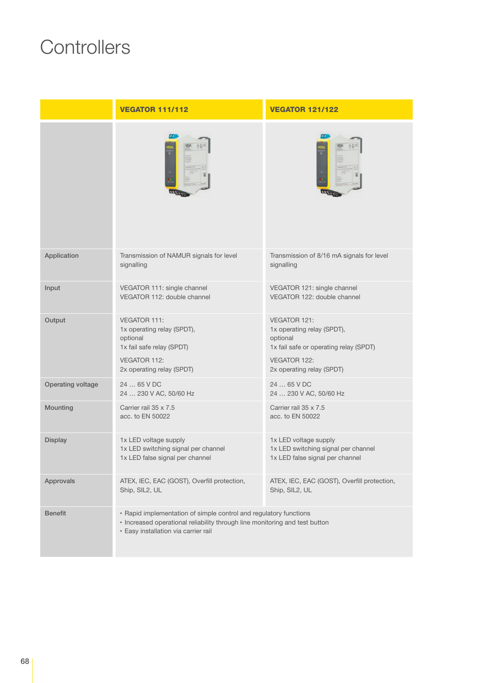# **Controllers**

|                   | <b>VEGATOR 111/112</b>                                                                                                                                                                   | <b>VEGATOR 121/122</b>                                                                                                                               |
|-------------------|------------------------------------------------------------------------------------------------------------------------------------------------------------------------------------------|------------------------------------------------------------------------------------------------------------------------------------------------------|
|                   |                                                                                                                                                                                          |                                                                                                                                                      |
| Application       | Transmission of NAMUR signals for level<br>signalling                                                                                                                                    | Transmission of 8/16 mA signals for level<br>signalling                                                                                              |
| Input             | VEGATOR 111: single channel<br>VEGATOR 112: double channel                                                                                                                               | VEGATOR 121: single channel<br>VEGATOR 122: double channel                                                                                           |
| Output            | VEGATOR 111:<br>1x operating relay (SPDT),<br>optional<br>1x fail safe relay (SPDT)<br><b>VEGATOR 112:</b><br>2x operating relay (SPDT)                                                  | VEGATOR 121:<br>1x operating relay (SPDT),<br>optional<br>1x fail safe or operating relay (SPDT)<br><b>VEGATOR 122:</b><br>2x operating relay (SPDT) |
| Operating voltage | 24  65 V DC<br>24  230 V AC, 50/60 Hz                                                                                                                                                    | 24  65 V DC<br>24  230 V AC, 50/60 Hz                                                                                                                |
| Mounting          | Carrier rail 35 x 7.5<br>acc. to EN 50022                                                                                                                                                | Carrier rail 35 x 7.5<br>acc. to EN 50022                                                                                                            |
| <b>Display</b>    | 1x LED voltage supply<br>1x LED switching signal per channel<br>1x LED false signal per channel                                                                                          | 1x LED voltage supply<br>1x LED switching signal per channel<br>1x LED false signal per channel                                                      |
| Approvals         | ATEX, IEC, EAC (GOST), Overfill protection,<br>Ship, SIL2, UL                                                                                                                            | ATEX, IEC, EAC (GOST), Overfill protection,<br>Ship, SIL2, UL                                                                                        |
| <b>Benefit</b>    | • Rapid implementation of simple control and regulatory functions<br>· Increased operational reliability through line monitoring and test button<br>· Easy installation via carrier rail |                                                                                                                                                      |